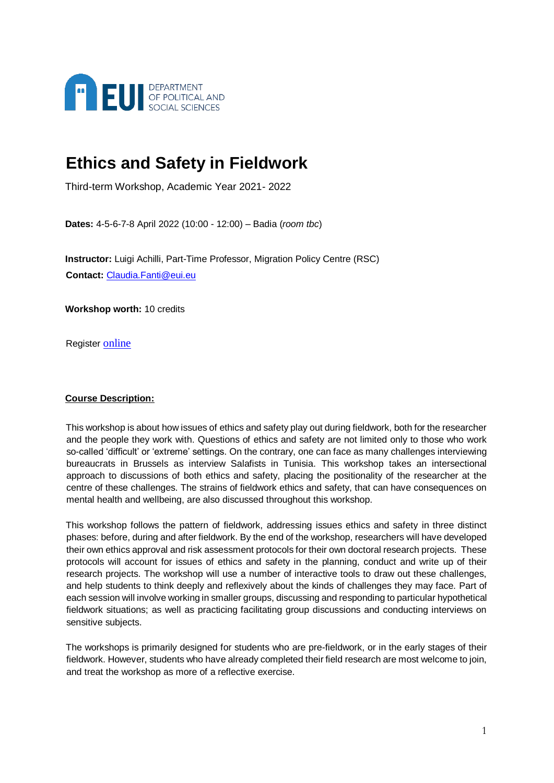

# **Ethics and Safety in Fieldwork**

Third-term Workshop, Academic Year 2021- 2022

**Dates:** 4-5-6-7-8 April 2022 (10:00 - 12:00) – Badia (*room tbc*)

**Instructor:** Luigi Achilli, Part-Time Professor, Migration Policy Centre (RSC) **Contact:** [Claudia.Fanti@eui.eu](mailto:Claudia.Fanti@eui.eu)

**Workshop worth:** 10 credits

Register [online](https://my.eui.eu/)

# **Course Description:**

This workshop is about how issues of ethics and safety play out during fieldwork, both for the researcher and the people they work with. Questions of ethics and safety are not limited only to those who work so-called 'difficult' or 'extreme' settings. On the contrary, one can face as many challenges interviewing bureaucrats in Brussels as interview Salafists in Tunisia. This workshop takes an intersectional approach to discussions of both ethics and safety, placing the positionality of the researcher at the centre of these challenges. The strains of fieldwork ethics and safety, that can have consequences on mental health and wellbeing, are also discussed throughout this workshop.

This workshop follows the pattern of fieldwork, addressing issues ethics and safety in three distinct phases: before, during and after fieldwork. By the end of the workshop, researchers will have developed their own ethics approval and risk assessment protocols for their own doctoral research projects. These protocols will account for issues of ethics and safety in the planning, conduct and write up of their research projects. The workshop will use a number of interactive tools to draw out these challenges, and help students to think deeply and reflexively about the kinds of challenges they may face. Part of each session will involve working in smaller groups, discussing and responding to particular hypothetical fieldwork situations; as well as practicing facilitating group discussions and conducting interviews on sensitive subjects.

The workshops is primarily designed for students who are pre-fieldwork, or in the early stages of their fieldwork. However, students who have already completed their field research are most welcome to join, and treat the workshop as more of a reflective exercise.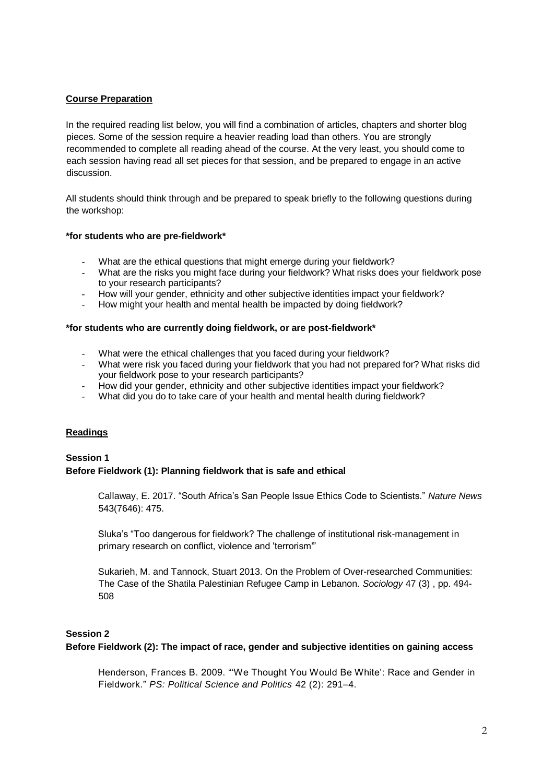# **Course Preparation**

In the required reading list below, you will find a combination of articles, chapters and shorter blog pieces. Some of the session require a heavier reading load than others. You are strongly recommended to complete all reading ahead of the course. At the very least, you should come to each session having read all set pieces for that session, and be prepared to engage in an active discussion.

All students should think through and be prepared to speak briefly to the following questions during the workshop:

# **\*for students who are pre-fieldwork\***

- What are the ethical questions that might emerge during your fieldwork?
- What are the risks you might face during your fieldwork? What risks does your fieldwork pose to your research participants?
- How will your gender, ethnicity and other subjective identities impact your fieldwork?
- How might your health and mental health be impacted by doing fieldwork?

#### **\*for students who are currently doing fieldwork, or are post-fieldwork\***

- What were the ethical challenges that you faced during your fieldwork?
- What were risk you faced during your fieldwork that you had not prepared for? What risks did your fieldwork pose to your research participants?
- How did your gender, ethnicity and other subjective identities impact your fieldwork?
- What did you do to take care of your health and mental health during fieldwork?

# **Readings**

# **Session 1 Before Fieldwork (1): Planning fieldwork that is safe and ethical**

Callaway, E. 2017. "South Africa's San People Issue Ethics Code to Scientists." *Nature News* 543(7646): 475.

Sluka's "Too dangerous for fieldwork? The challenge of institutional risk-management in primary research on conflict, violence and 'terrorism'"

Sukarieh, M. and Tannock, Stuart 2013. On the Problem of Over-researched Communities: The Case of the Shatila Palestinian Refugee Camp in Lebanon. *Sociology* 47 (3) , pp. 494- 508

# **Session 2**

# **Before Fieldwork (2): The impact of race, gender and subjective identities on gaining access**

Henderson, Frances B. 2009. "'We Thought You Would Be White': Race and Gender in Fieldwork." *PS: Political Science and Politics* 42 (2): 291–4.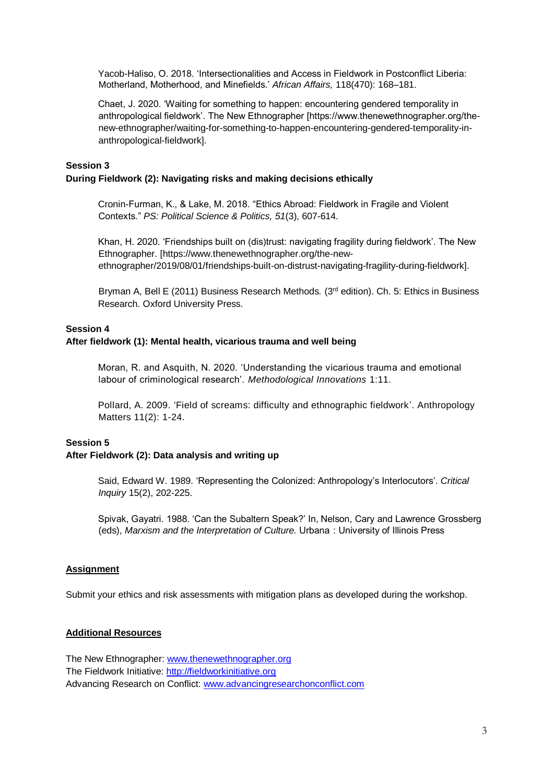Yacob-Haliso, O. 2018. 'Intersectionalities and Access in Fieldwork in Postconflict Liberia: Motherland, Motherhood, and Minefields.' *African Affairs,* 118(470): 168–181.

Chaet, J. 2020. 'Waiting for something to happen: encountering gendered temporality in anthropological fieldwork'. The New Ethnographer [https://www.thenewethnographer.org/thenew-ethnographer/waiting-for-something-to-happen-encountering-gendered-temporality-inanthropological-fieldwork].

#### **Session 3 During Fieldwork (2): Navigating risks and making decisions ethically**

Cronin-Furman, K., & Lake, M. 2018. "Ethics Abroad: Fieldwork in Fragile and Violent Contexts." *PS: Political Science & Politics, 51*(3), 607-614.

Khan, H. 2020. 'Friendships built on (dis)trust: navigating fragility during fieldwork'. The New Ethnographer. [https://www.thenewethnographer.org/the-newethnographer/2019/08/01/friendships-built-on-distrust-navigating-fragility-during-fieldwork].

Bryman A, Bell E (2011) Business Research Methods*.* (3rd edition). Ch. 5: Ethics in Business Research. Oxford University Press.

#### **Session 4**

#### **After fieldwork (1): Mental health, vicarious trauma and well being**

Moran, R. and Asquith, N. 2020. 'Understanding the vicarious trauma and emotional labour of criminological research'. *Methodological Innovations* 1:11.

Pollard, A. 2009. 'Field of screams: difficulty and ethnographic fieldwork'. Anthropology Matters 11(2): 1-24.

# **Session 5**

# **After Fieldwork (2): Data analysis and writing up**

Said, Edward W. 1989. 'Representing the Colonized: Anthropology's Interlocutors'. *Critical Inquiry* 15(2), 202-225.

Spivak, Gayatri. 1988. 'Can the Subaltern Speak?' In, Nelson, Cary and Lawrence Grossberg (eds), *Marxism and the Interpretation of Culture.* Urbana  : University of Illinois Press

#### **Assignment**

Submit your ethics and risk assessments with mitigation plans as developed during the workshop.

#### **Additional Resources**

The New Ethnographer: [www.thenewethnographer.org](http://www.thenewethnographer.org/) The Fieldwork Initiative[: http://fieldworkinitiative.org](http://fieldworkinitiative.org/) Advancing Research on Conflict: [www.advancingresearchonconflict.com](http://www.advancingresearchonconflict.com/)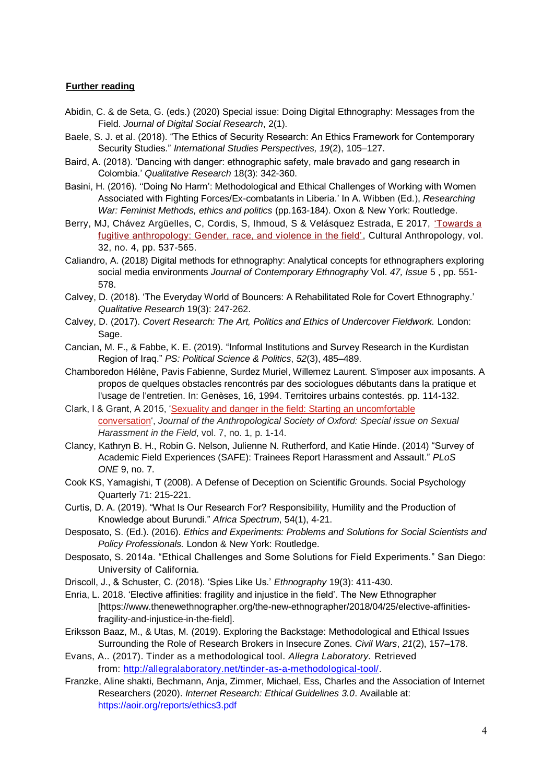#### **Further reading**

- Abidin, C. & de Seta, G. (eds.) (2020) Special issue: Doing Digital Ethnography: Messages from the Field. *Journal of Digital Social Research*, 2(1).
- Baele, S. J. et al. (2018). "The Ethics of Security Research: An Ethics Framework for Contemporary Security Studies." *International Studies Perspectives, 19*(2), 105–127.
- Baird, A. (2018). 'Dancing with danger: ethnographic safety, male bravado and gang research in Colombia.' *Qualitative Research* 18(3): 342-360.
- Basini, H. (2016). ''Doing No Harm': Methodological and Ethical Challenges of Working with Women Associated with Fighting Forces/Ex-combatants in Liberia.' In A. Wibben (Ed.), *Researching War: Feminist Methods, ethics and politics* (pp.163-184). Oxon & New York: Routledge.
- Berry, MJ, Chávez Argüelles, C, Cordis, S, Ihmoud, S & Velásquez Estrada, E 2017, ['Towards a](https://doi.org/10.14506/ca32.4.05)  [fugitive anthropology: Gender, race, and violence in the field',](https://doi.org/10.14506/ca32.4.05) Cultural Anthropology, vol. 32, no. 4, pp. 537-565.
- Caliandro, A. (2018) Digital methods for ethnography: Analytical concepts for ethnographers exploring social media environments *Journal of Contemporary Ethnography* Vol. *47, Issue* 5 , pp. 551- 578.
- Calvey, D. (2018). 'The Everyday World of Bouncers: A Rehabilitated Role for Covert Ethnography.' *Qualitative Research* 19(3): 247-262.
- Calvey, D. (2017). *Covert Research: The Art, Politics and Ethics of Undercover Fieldwork.* London: Sage.
- Cancian, M. F., & Fabbe, K. E. (2019). "Informal Institutions and Survey Research in the Kurdistan Region of Iraq." *PS: Political Science & Politics*, *52*(3), 485–489.
- Chamboredon Hé lène, Pavis Fabienne, Surdez Muriel, Willemez Laurent. S'imposer aux imposants. A propos de quelques obstacles rencontrés par des sociologues débutants dans la pratique et l'usage de l'entretien. In: Genèses, 16, 1994. Territoires urbains contestés. pp. 114-132.
- Clark, I & Grant, A 2015, ['Sexuality and danger in the field: Starting an uncomfortable](https://www.anthro.ox.ac.uk/sites/default/files/anthro/documents/media/jaso7_1_2015_1_14.pdf)  [conversation'](https://www.anthro.ox.ac.uk/sites/default/files/anthro/documents/media/jaso7_1_2015_1_14.pdf), *Journal of the Anthropological Society of Oxford: Special issue on Sexual Harassment in the Field*, vol. 7, no. 1, p. 1-14.
- Clancy, Kathryn B. H., Robin G. Nelson, Julienne N. Rutherford, and Katie Hinde. (2014) "Survey of Academic Field Experiences (SAFE): Trainees Report Harassment and Assault." *PLoS ONE* 9, no. 7.
- Cook KS, Yamagishi, T (2008). A Defense of Deception on Scientific Grounds. Social Psychology Quarterly 71: 215-221.
- Curtis, D. A. (2019). "What Is Our Research For? Responsibility, Humility and the Production of Knowledge about Burundi." *Africa Spectrum*, 54(1), 4-21.
- Desposato, S. (Ed.). (2016). *Ethics and Experiments: Problems and Solutions for Social Scientists and Policy Professionals.* London & New York: Routledge.
- Desposato, S. 2014a. "Ethical Challenges and Some Solutions for Field Experiments." San Diego: University of California.
- Driscoll, J., & Schuster, C. (2018). 'Spies Like Us.' *Ethnography* 19(3): 411-430.
- Enria, L. 2018. 'Elective affinities: fragility and injustice in the field'. The New Ethnographer [https://www.thenewethnographer.org/the-new-ethnographer/2018/04/25/elective-affinitiesfragility-and-injustice-in-the-field].
- Eriksson Baaz, M., & Utas, M. (2019). Exploring the Backstage: Methodological and Ethical Issues Surrounding the Role of Research Brokers in Insecure Zones. *Civil Wars*, *21*(2), 157–178.
- Evans, A.. (2017). Tinder as a methodological tool. *Allegra Laboratory.* Retrieved from: [http://allegralaboratory.net/tinder-as-a-methodological-tool/.](http://allegralaboratory.net/tinder-as-a-methodological-tool/)
- Franzke, Aline shakti, Bechmann, Anja, Zimmer, Michael, Ess, Charles and the Association of Internet Researchers (2020). *Internet Research: Ethical Guidelines 3.0*. Available at: https://aoir.org/reports/ethics3.pdf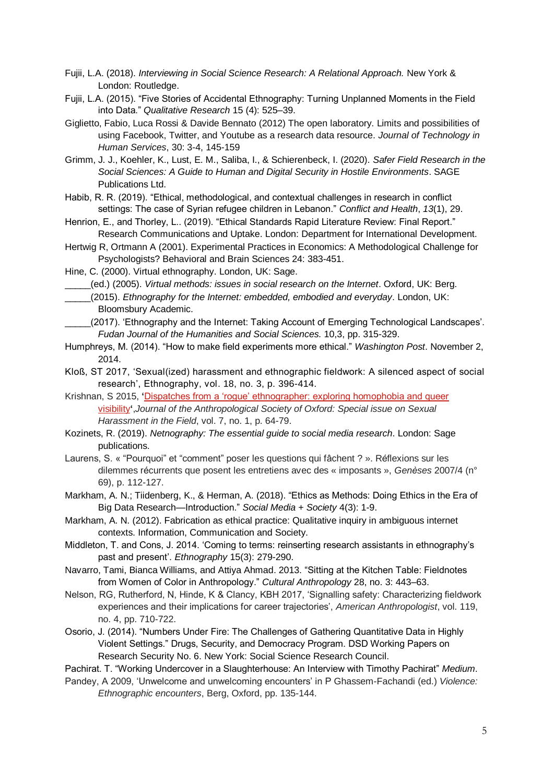- Fujii, L.A. (2018). *Interviewing in Social Science Research: A Relational Approach.* New York & London: Routledge.
- Fujii, L.A. (2015). "Five Stories of Accidental Ethnography: Turning Unplanned Moments in the Field into Data." *Qualitative Research* 15 (4): 525–39.
- Giglietto, Fabio, Luca Rossi & Davide Bennato (2012) The open laboratory. Limits and possibilities of using Facebook, Twitter, and Youtube as a research data resource. *Journal of Technology in Human Services*, 30: 3-4, 145-159
- Grimm, J. J., Koehler, K., Lust, E. M., Saliba, I., & Schierenbeck, I. (2020). *Safer Field Research in the Social Sciences: A Guide to Human and Digital Security in Hostile Environments*. SAGE Publications Ltd.
- Habib, R. R. (2019). "Ethical, methodological, and contextual challenges in research in conflict settings: The case of Syrian refugee children in Lebanon." *Conflict and Health*, *13*(1), 29.
- Henrion, E., and Thorley, L.. (2019). "Ethical Standards Rapid Literature Review: Final Report." Research Communications and Uptake. London: Department for International Development.
- Hertwig R, Ortmann A (2001). Experimental Practices in Economics: A Methodological Challenge for Psychologists? Behavioral and Brain Sciences 24: 383-451.
- Hine, C. (2000). Virtual ethnography. London, UK: Sage.

\_\_\_\_\_(ed.) (2005). *Virtual methods: issues in social research on the Internet*. Oxford, UK: Berg.

- \_\_\_\_\_(2015). *Ethnography for the Internet: embedded, embodied and everyday*. London, UK: Bloomsbury Academic.
- \_\_\_\_\_(2017). 'Ethnography and the Internet: Taking Account of Emerging Technological Landscapes'. *Fudan Journal of the Humanities and Social Sciences.* 10,3, pp. 315-329.
- Humphreys, M. (2014). "How to make field experiments more ethical." *Washington Post*. November 2, 2014.
- Kloß, ST 2017, 'Sexual(ized) harassment and ethnographic fieldwork: A silenced aspect of social research', Ethnography, vol. 18, no. 3, p. 396-414.
- Krishnan, S 2015, **'**[Dispatches from a 'rogue' ethnographer: exploring homophobia and queer](https://www.anthro.ox.ac.uk/sites/default/files/anthro/documents/media/jaso7_1_2015_64_79.pdf)  [visibility](https://www.anthro.ox.ac.uk/sites/default/files/anthro/documents/media/jaso7_1_2015_64_79.pdf)**'**,*Journal of the Anthropological Society of Oxford: Special issue on Sexual Harassment in the Field*, vol. 7, no. 1, p. 64-79.
- Kozinets, R. (2019). *Netnography: The essential guide to social media research*. London: Sage publications.
- Laurens, S. « "Pourquoi" et "comment" poser les questions qui fâchent ? ». Ré flexions sur les dilemmes récurrents que posent les entretiens avec des « imposants », *Genèses* 2007/4 (n° 69), p. 112-127.
- Markham, A. N.; Tiidenberg, K., & Herman, A. (2018). "Ethics as Methods: Doing Ethics in the Era of Big Data Research—Introduction." *Social Media + Society* 4(3): 1-9.
- Markham, A. N. (2012). Fabrication as ethical practice: Qualitative inquiry in ambiguous internet contexts. Information, Communication and Society.
- Middleton, T. and Cons, J. 2014. 'Coming to terms: reinserting research assistants in ethnography's past and present'. *Ethnography* 15(3): 279-290.
- Navarro, Tami, Bianca Williams, and Attiya Ahmad. 2013. "Sitting at the Kitchen Table: Fieldnotes from Women of Color in Anthropology." *Cultural Anthropology* 28, no. 3: 443–63.
- Nelson, RG, Rutherford, N, Hinde, K & Clancy, KBH 2017, 'Signalling safety: Characterizing fieldwork experiences and their implications for career trajectories', *American Anthropologist*, vol. 119, no. 4, pp. 710-722.
- Osorio, J. (2014). "Numbers Under Fire: The Challenges of Gathering Quantitative Data in Highly Violent Settings." Drugs, Security, and Democracy Program. DSD Working Papers on Research Security No. 6. New York: Social Science Research Council.
- Pachirat. T. "Working Undercover in a Slaughterhouse: An Interview with Timothy Pachirat" *Medium*.
- Pandey, A 2009, 'Unwelcome and unwelcoming encounters' in P Ghassem-Fachandi (ed.) *Violence: Ethnographic encounters*, Berg, Oxford, pp. 135-144.